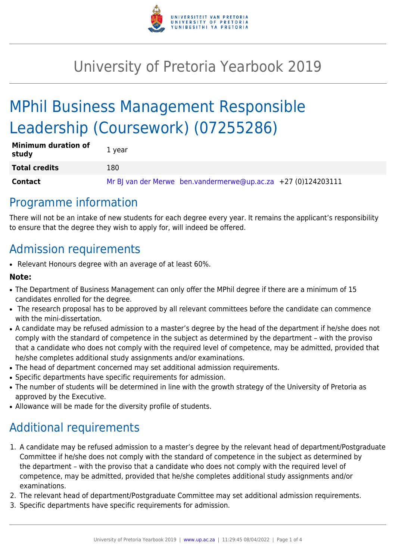

# University of Pretoria Yearbook 2019

# MPhil Business Management Responsible Leadership (Coursework) (07255286)

| <b>Minimum duration of</b><br>study | 1 year                                                        |
|-------------------------------------|---------------------------------------------------------------|
| <b>Total credits</b>                | 180                                                           |
| <b>Contact</b>                      | Mr BJ van der Merwe ben.vandermerwe@up.ac.za +27 (0)124203111 |

## Programme information

There will not be an intake of new students for each degree every year. It remains the applicant's responsibility to ensure that the degree they wish to apply for, will indeed be offered.

## Admission requirements

• Relevant Honours degree with an average of at least 60%.

## **Note:**

- The Department of Business Management can only offer the MPhil degree if there are a minimum of 15 candidates enrolled for the degree.
- The research proposal has to be approved by all relevant committees before the candidate can commence with the mini-dissertation.
- A candidate may be refused admission to a master's degree by the head of the department if he/she does not comply with the standard of competence in the subject as determined by the department – with the proviso that a candidate who does not comply with the required level of competence, may be admitted, provided that he/she completes additional study assignments and/or examinations.
- The head of department concerned may set additional admission requirements.
- Specific departments have specific requirements for admission.
- The number of students will be determined in line with the growth strategy of the University of Pretoria as approved by the Executive.
- Allowance will be made for the diversity profile of students.

## Additional requirements

- 1. A candidate may be refused admission to a master's degree by the relevant head of department/Postgraduate Committee if he/she does not comply with the standard of competence in the subject as determined by the department – with the proviso that a candidate who does not comply with the required level of competence, may be admitted, provided that he/she completes additional study assignments and/or examinations.
- 2. The relevant head of department/Postgraduate Committee may set additional admission requirements.
- 3. Specific departments have specific requirements for admission.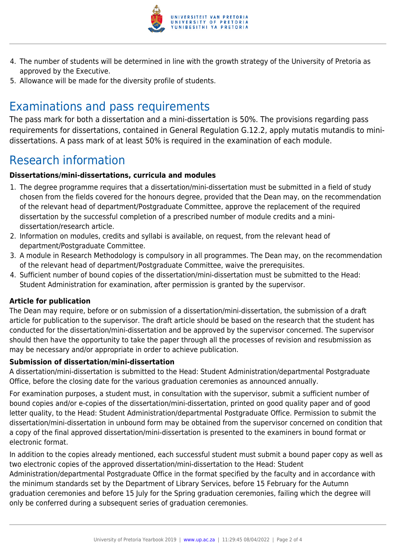

- 4. The number of students will be determined in line with the growth strategy of the University of Pretoria as approved by the Executive.
- 5. Allowance will be made for the diversity profile of students.

## Examinations and pass requirements

The pass mark for both a dissertation and a mini-dissertation is 50%. The provisions regarding pass requirements for dissertations, contained in General Regulation G.12.2, apply mutatis mutandis to minidissertations. A pass mark of at least 50% is required in the examination of each module.

## Research information

## **Dissertations/mini-dissertations, curricula and modules**

- 1. The degree programme requires that a dissertation/mini-dissertation must be submitted in a field of study chosen from the fields covered for the honours degree, provided that the Dean may, on the recommendation of the relevant head of department/Postgraduate Committee, approve the replacement of the required dissertation by the successful completion of a prescribed number of module credits and a minidissertation/research article.
- 2. Information on modules, credits and syllabi is available, on request, from the relevant head of department/Postgraduate Committee.
- 3. A module in Research Methodology is compulsory in all programmes. The Dean may, on the recommendation of the relevant head of department/Postgraduate Committee, waive the prerequisites.
- 4. Sufficient number of bound copies of the dissertation/mini-dissertation must be submitted to the Head: Student Administration for examination, after permission is granted by the supervisor.

### **Article for publication**

The Dean may require, before or on submission of a dissertation/mini-dissertation, the submission of a draft article for publication to the supervisor. The draft article should be based on the research that the student has conducted for the dissertation/mini-dissertation and be approved by the supervisor concerned. The supervisor should then have the opportunity to take the paper through all the processes of revision and resubmission as may be necessary and/or appropriate in order to achieve publication.

### **Submission of dissertation/mini-dissertation**

A dissertation/mini-dissertation is submitted to the Head: Student Administration/departmental Postgraduate Office, before the closing date for the various graduation ceremonies as announced annually.

For examination purposes, a student must, in consultation with the supervisor, submit a sufficient number of bound copies and/or e-copies of the dissertation/mini-dissertation, printed on good quality paper and of good letter quality, to the Head: Student Administration/departmental Postgraduate Office. Permission to submit the dissertation/mini-dissertation in unbound form may be obtained from the supervisor concerned on condition that a copy of the final approved dissertation/mini-dissertation is presented to the examiners in bound format or electronic format.

In addition to the copies already mentioned, each successful student must submit a bound paper copy as well as two electronic copies of the approved dissertation/mini-dissertation to the Head: Student

Administration/departmental Postgraduate Office in the format specified by the faculty and in accordance with the minimum standards set by the Department of Library Services, before 15 February for the Autumn graduation ceremonies and before 15 July for the Spring graduation ceremonies, failing which the degree will only be conferred during a subsequent series of graduation ceremonies.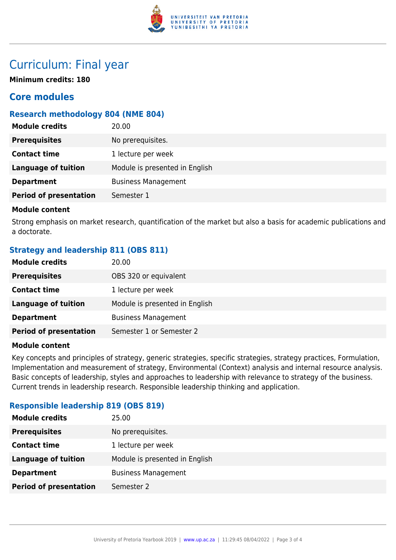

## Curriculum: Final year

**Minimum credits: 180**

## **Core modules**

## **Research methodology 804 (NME 804)**

| No prerequisites.<br><b>Prerequisites</b><br><b>Contact time</b><br>1 lecture per week<br>Module is presented in English<br><b>Language of tuition</b> |
|--------------------------------------------------------------------------------------------------------------------------------------------------------|
|                                                                                                                                                        |
|                                                                                                                                                        |
|                                                                                                                                                        |
| <b>Department</b><br><b>Business Management</b>                                                                                                        |
| <b>Period of presentation</b><br>Semester 1                                                                                                            |

#### **Module content**

Strong emphasis on market research, quantification of the market but also a basis for academic publications and a doctorate.

## **Strategy and leadership 811 (OBS 811)**

| <b>Module credits</b>         | 20.00                          |
|-------------------------------|--------------------------------|
| <b>Prerequisites</b>          | OBS 320 or equivalent          |
| <b>Contact time</b>           | 1 lecture per week             |
| <b>Language of tuition</b>    | Module is presented in English |
| <b>Department</b>             | <b>Business Management</b>     |
| <b>Period of presentation</b> | Semester 1 or Semester 2       |

### **Module content**

Key concepts and principles of strategy, generic strategies, specific strategies, strategy practices, Formulation, Implementation and measurement of strategy, Environmental (Context) analysis and internal resource analysis. Basic concepts of leadership, styles and approaches to leadership with relevance to strategy of the business. Current trends in leadership research. Responsible leadership thinking and application.

## **Responsible leadership 819 (OBS 819)**

| 25.00                          |
|--------------------------------|
| No prerequisites.              |
| 1 lecture per week             |
| Module is presented in English |
| <b>Business Management</b>     |
| Semester 2                     |
|                                |